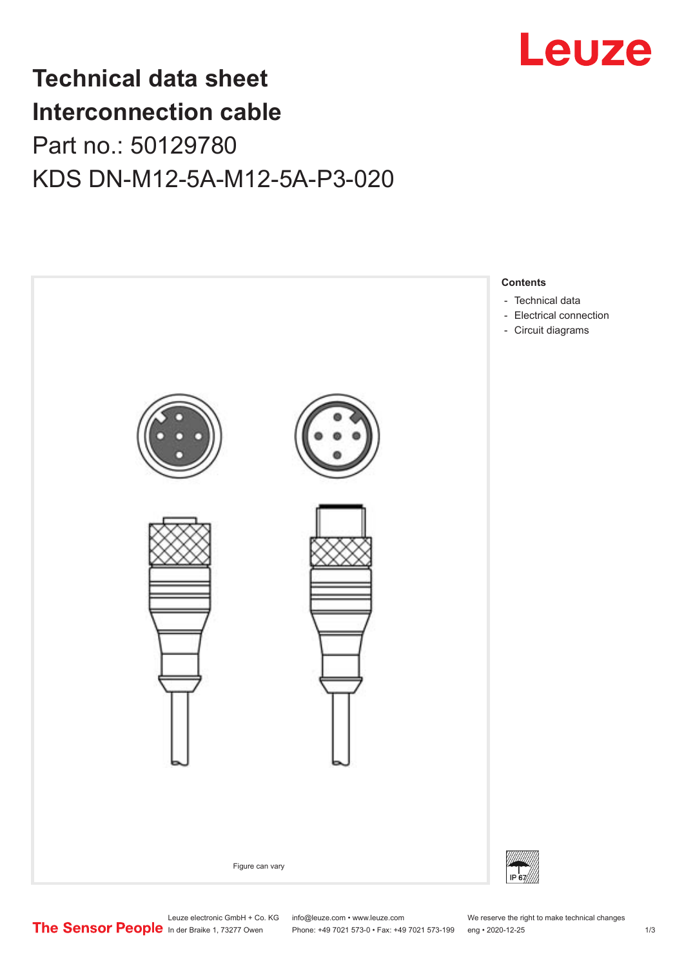

## **Technical data sheet Interconnection cable** Part no.: 50129780 KDS DN-M12-5A-M12-5A-P3-020



Leuze electronic GmbH + Co. KG info@leuze.com • www.leuze.com We reserve the right to make technical changes<br> **The Sensor People** in der Braike 1, 73277 Owen Phone: +49 7021 573-0 • Fax: +49 7021 573-199 eng • 2020-12-25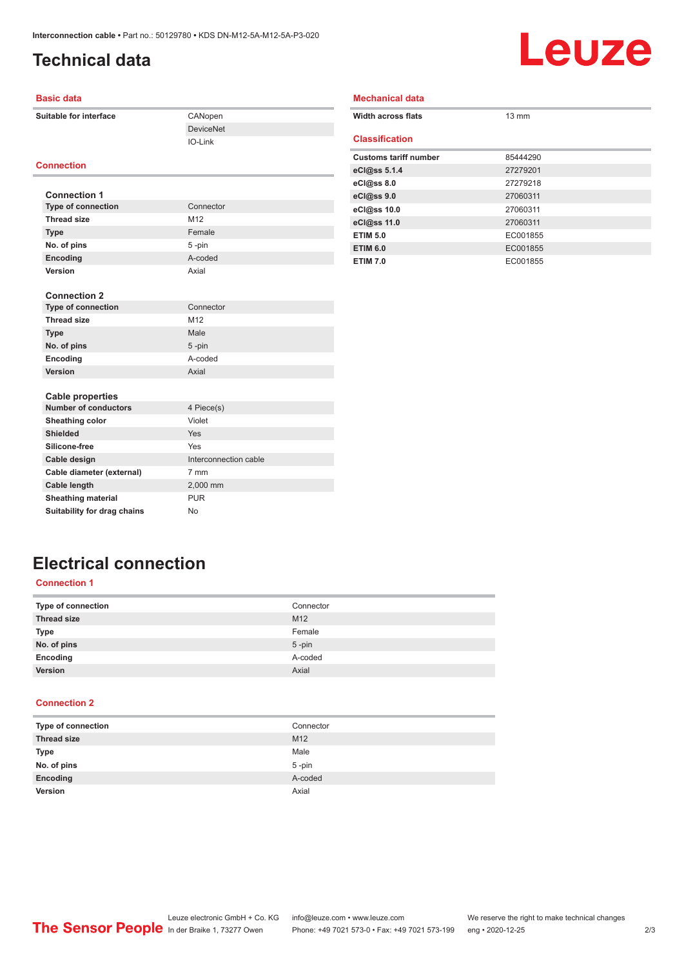## <span id="page-1-0"></span>**Technical data**

# Leuze

#### **Basic data**

**Suitable for interface** CANopen

### **Connection**

| <b>Connection 1</b>       |                 |
|---------------------------|-----------------|
| <b>Type of connection</b> | Connector       |
| <b>Thread size</b>        | M <sub>12</sub> |
| <b>Type</b>               | Female          |
| No. of pins               | $5 - pin$       |
| Encoding                  | A-coded         |
| Version                   | Axial           |

DeviceNet IO-Link

| <b>Connection 2</b>       |                 |
|---------------------------|-----------------|
| <b>Type of connection</b> | Connector       |
| <b>Thread size</b>        | M <sub>12</sub> |
| <b>Type</b>               | Male            |
| No. of pins               | $5 - pin$       |
| Encoding                  | A-coded         |
| <b>Version</b>            | Axial           |

| <b>Width across flats</b>    | $13 \text{ mm}$ |
|------------------------------|-----------------|
| <b>Classification</b>        |                 |
| <b>Customs tariff number</b> | 85444290        |
| eCl@ss 5.1.4                 | 27279201        |
| eCl@ss 8.0                   | 27279218        |
| eCl@ss 9.0                   | 27060311        |
| eCl@ss 10.0                  | 27060311        |
| eCl@ss 11.0                  | 27060311        |
| <b>ETIM 5.0</b>              | EC001855        |
| <b>ETIM 6.0</b>              | EC001855        |
| <b>ETIM 7.0</b>              | EC001855        |

**Mechanical data**

## **Electrical connection**

**Number of conductors** 4 Piece(s) **Sheathing color** Violet **Shielded** Yes **Silicone-free** Yes

Cable diameter (external) 7 mm **Cable length** 2,000 mm **Sheathing material** PUR **Suitability for drag chains** No

**Cable design Cable design Cable design Cable design Cable design Cable design Cable design Cable design Cable design Cable design Cable design Cable design Cable design Cable design Cable design Cable design Cable design** 

#### **Connection 1**

**Cable properties**

| Connector |
|-----------|
| M12       |
| Female    |
| $5$ -pin  |
| A-coded   |
| Axial     |
|           |

#### **Connection 2**

| Type of connection | Connector |
|--------------------|-----------|
| <b>Thread size</b> | M12       |
| <b>Type</b>        | Male      |
| No. of pins        | $5$ -pin  |
| Encoding           | A-coded   |
| <b>Version</b>     | Axial     |